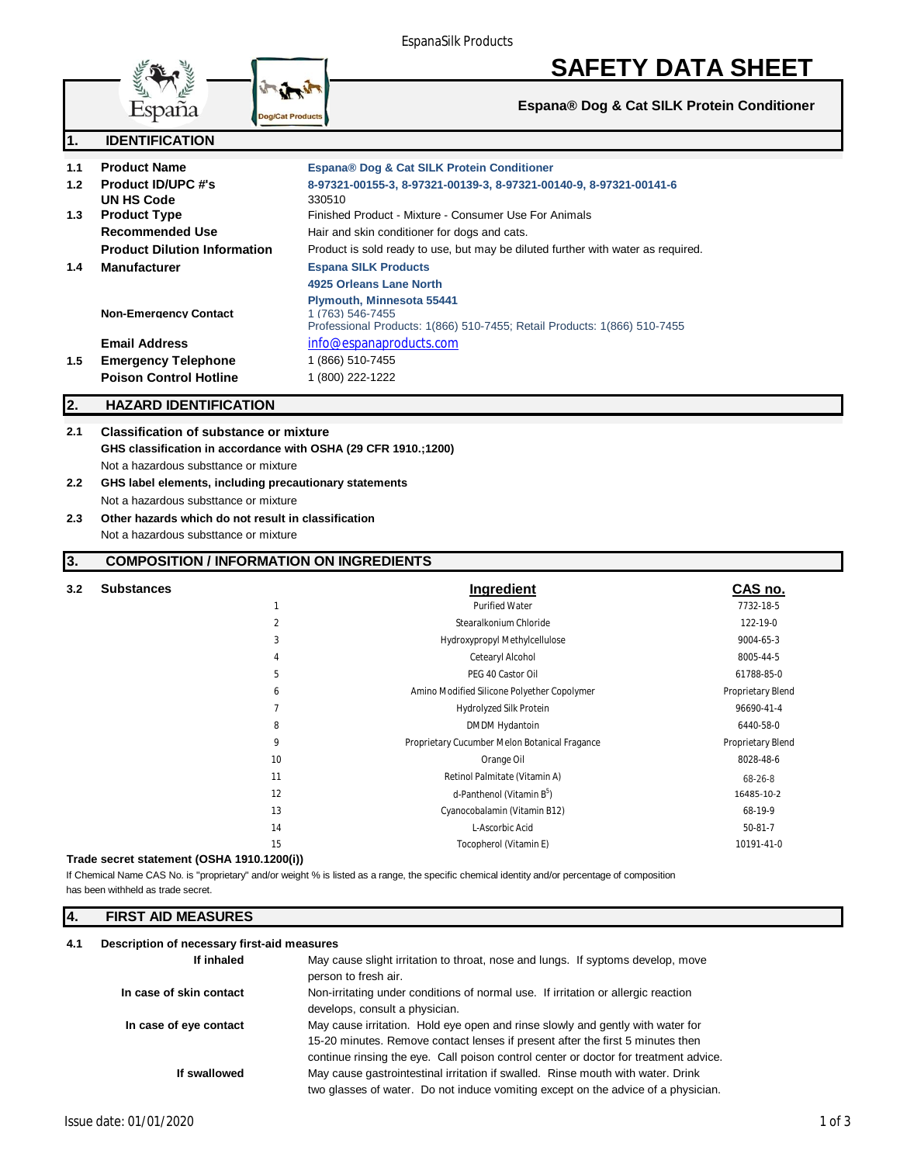

# **SAFETY DATA SHEET**

**Espana® Dog & Cat SILK Protein Conditioner**

| $\mathbf 1$ .    | <b>IDENTIFICATION</b>                                                                                           |                                                                                                                                  |
|------------------|-----------------------------------------------------------------------------------------------------------------|----------------------------------------------------------------------------------------------------------------------------------|
| 1.1              | <b>Product Name</b>                                                                                             | Espana® Dog & Cat SILK Protein Conditioner                                                                                       |
| 1.2 <sub>1</sub> | <b>Product ID/UPC #'s</b>                                                                                       | 8-97321-00155-3, 8-97321-00139-3, 8-97321-00140-9, 8-97321-00141-6                                                               |
|                  | UN HS Code                                                                                                      | 330510                                                                                                                           |
| 1.3              | <b>Product Type</b>                                                                                             | Finished Product - Mixture - Consumer Use For Animals                                                                            |
|                  | <b>Recommended Use</b>                                                                                          | Hair and skin conditioner for dogs and cats.                                                                                     |
|                  | <b>Product Dilution Information</b>                                                                             | Product is sold ready to use, but may be diluted further with water as required.                                                 |
| $1.4^{\circ}$    | <b>Manufacturer</b>                                                                                             | <b>Espana SILK Products</b>                                                                                                      |
|                  |                                                                                                                 | 4925 Orleans Lane North                                                                                                          |
|                  | <b>Non-Emergency Contact</b>                                                                                    | <b>Plymouth, Minnesota 55441</b><br>1 (763) 546-7455<br>Professional Products: 1(866) 510-7455; Retail Products: 1(866) 510-7455 |
|                  | <b>Email Address</b>                                                                                            | info@espanaproducts.com                                                                                                          |
| 1.5              | <b>Emergency Telephone</b>                                                                                      | 1 (866) 510-7455                                                                                                                 |
|                  | <b>Poison Control Hotline</b>                                                                                   | 1 (800) 222-1222                                                                                                                 |
| 2.               | <b>HAZARD IDENTIFICATION</b>                                                                                    |                                                                                                                                  |
| 2.1              | <b>Classification of substance or mixture</b><br>GHS classification in accordance with OSHA (29 CFR 1910.;1200) |                                                                                                                                  |

Not a hazardous substtance or mixture

- **2.2 GHS label elements, including precautionary statements**
- Not a hazardous substtance or mixture **2.3 Other hazards which do not result in classification**

Not a hazardous substtance or mixture

#### **3. COMPOSITION / INFORMATION ON INGREDIENTS**

| 3.2 | <b>Substances</b> |                | Ingredient                                    | CAS no.           |
|-----|-------------------|----------------|-----------------------------------------------|-------------------|
|     |                   |                | <b>Purified Water</b>                         | 7732-18-5         |
|     |                   | $\overline{2}$ | Stearalkonium Chloride                        | 122-19-0          |
|     |                   | 3              | Hydroxypropyl Methylcellulose                 | 9004-65-3         |
|     |                   | 4              | Cetearyl Alcohol                              | 8005-44-5         |
|     |                   | 5              | PEG 40 Castor Oil                             | 61788-85-0        |
|     |                   | 6              | Amino Modified Silicone Polyether Copolymer   | Proprietary Blend |
|     |                   | $\overline{7}$ | Hydrolyzed Silk Protein                       | 96690-41-4        |
|     |                   | 8              | DMDM Hydantoin                                | 6440-58-0         |
|     |                   | 9              | Proprietary Cucumber Melon Botanical Fragance | Proprietary Blend |
|     |                   | 10             | Orange Oil                                    | 8028-48-6         |
|     |                   | 11             | Retinol Palmitate (Vitamin A)                 | 68-26-8           |
|     |                   | 12             | d-Panthenol (Vitamin B <sup>5</sup> )         | 16485-10-2        |
|     |                   | 13             | Cyanocobalamin (Vitamin B12)                  | 68-19-9           |
|     |                   | 14             | L-Ascorbic Acid                               | $50-81-7$         |
|     |                   | 15             | Tocopherol (Vitamin E)                        | 10191-41-0        |

#### **Trade secret statement (OSHA 1910.1200(i))**

has been withheld as trade secret. If Chemical Name CAS No. is "proprietary" and/or weight % is listed as a range, the specific chemical identity and/or percentage of composition

#### **4. FIRST AID MEASURES**

#### **4.1 Description of necessary first-aid measures**

| If inhaled              | May cause slight irritation to throat, nose and lungs. If syptoms develop, move<br>person to fresh air.                                                                                                                                                  |
|-------------------------|----------------------------------------------------------------------------------------------------------------------------------------------------------------------------------------------------------------------------------------------------------|
| In case of skin contact | Non-irritating under conditions of normal use. If irritation or allergic reaction<br>develops, consult a physician.                                                                                                                                      |
| In case of eye contact  | May cause irritation. Hold eye open and rinse slowly and gently with water for<br>15-20 minutes. Remove contact lenses if present after the first 5 minutes then<br>continue rinsing the eye. Call poison control center or doctor for treatment advice. |
| If swallowed            | May cause gastrointestinal irritation if swalled. Rinse mouth with water. Drink<br>two glasses of water. Do not induce vomiting except on the advice of a physician.                                                                                     |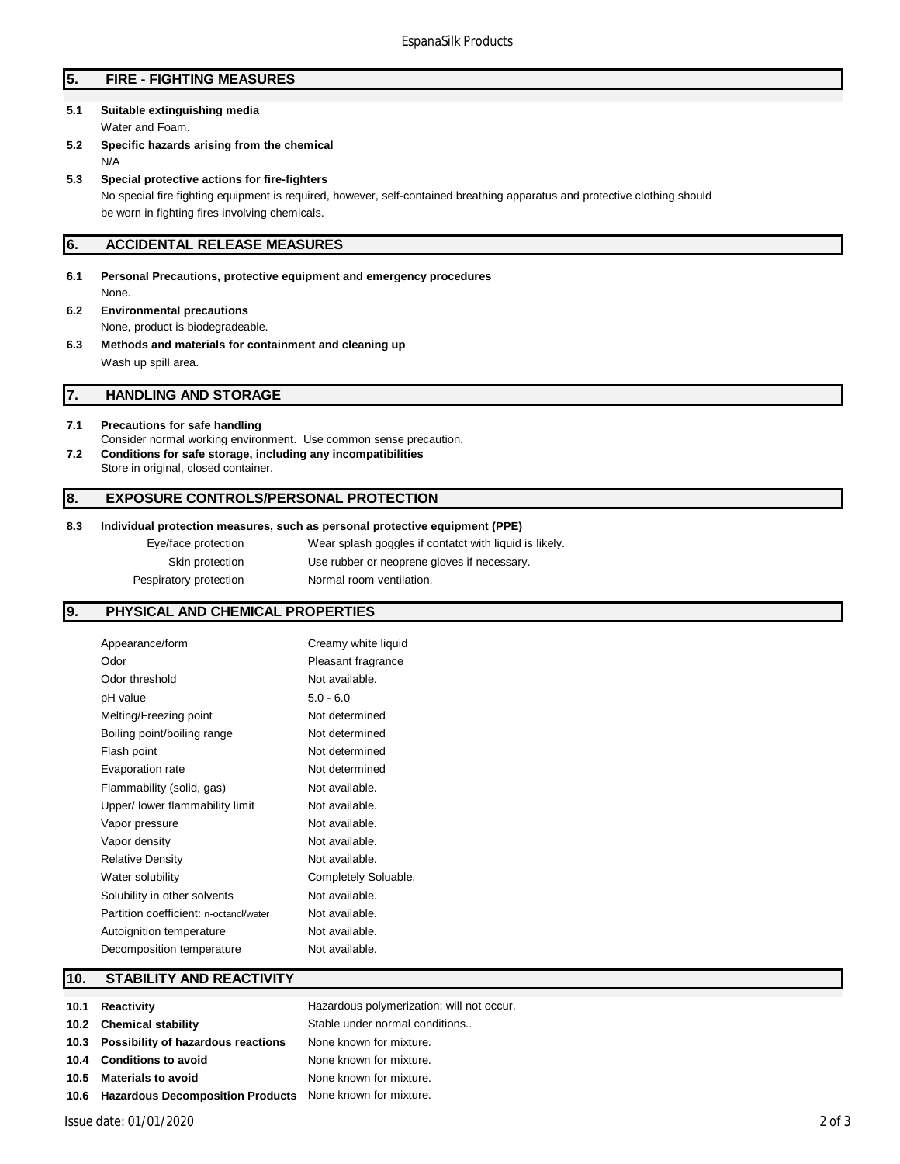#### **5. FIRE - FIGHTING MEASURES**

## **5.1 Suitable extinguishing media**

Water and Foam.

- **5.2 Specific hazards arising from the chemical** N/A
- **5.3 Special protective actions for fire-fighters**

No special fire fighting equipment is required, however, self-contained breathing apparatus and protective clothing should be worn in fighting fires involving chemicals.

#### **6. ACCIDENTAL RELEASE MEASURES**

- **6.1 Personal Precautions, protective equipment and emergency procedures** None. **6.2 Environmental precautions**
- None, product is biodegradeable.
- **6.3 Methods and materials for containment and cleaning up** Wash up spill area.

#### **7. HANDLING AND STORAGE**

- **7.1 Precautions for safe handling** Consider normal working environment. Use common sense precaution. **7.2 Conditions for safe storage, including any incompatibilities**
- Store in original, closed container.

#### **8. EXPOSURE CONTROLS/PERSONAL PROTECTION**

#### **8.3 Individual protection measures, such as personal protective equipment (PPE)**

Eye/face protection Wear splash goggles if contatct with liquid is likely. Skin protection Use rubber or neoprene gloves if necessary. Pespiratory protection Normal room ventilation.

#### **9. PHYSICAL AND CHEMICAL PROPERTIES**

| Appearance/form                        | Creamy white liquid  |
|----------------------------------------|----------------------|
| Odor                                   | Pleasant fragrance   |
| Odor threshold                         | Not available.       |
| pH value                               | $5.0 - 6.0$          |
| Melting/Freezing point                 | Not determined       |
| Boiling point/boiling range            | Not determined       |
| Flash point                            | Not determined       |
| Evaporation rate                       | Not determined       |
| Flammability (solid, gas)              | Not available.       |
| Upper/ lower flammability limit        | Not available.       |
| Vapor pressure                         | Not available.       |
| Vapor density                          | Not available.       |
| <b>Relative Density</b>                | Not available.       |
| Water solubility                       | Completely Soluable. |
| Solubility in other solvents           | Not available.       |
| Partition coefficient: n-octanol/water | Not available.       |
| Autoignition temperature               | Not available.       |
| Decomposition temperature              | Not available.       |

#### **10. STABILITY AND REACTIVITY**

| 10.1 Reactivity                                               | Hazardous polymerization: will not occur. |
|---------------------------------------------------------------|-------------------------------------------|
| 10.2 Chemical stability                                       | Stable under normal conditions            |
| 10.3 Possibility of hazardous reactions                       | None known for mixture.                   |
| 10.4 Conditions to avoid                                      | None known for mixture.                   |
| 10.5 Materials to avoid                                       | None known for mixture.                   |
| 10.6 Hazardous Decomposition Products None known for mixture. |                                           |
|                                                               |                                           |